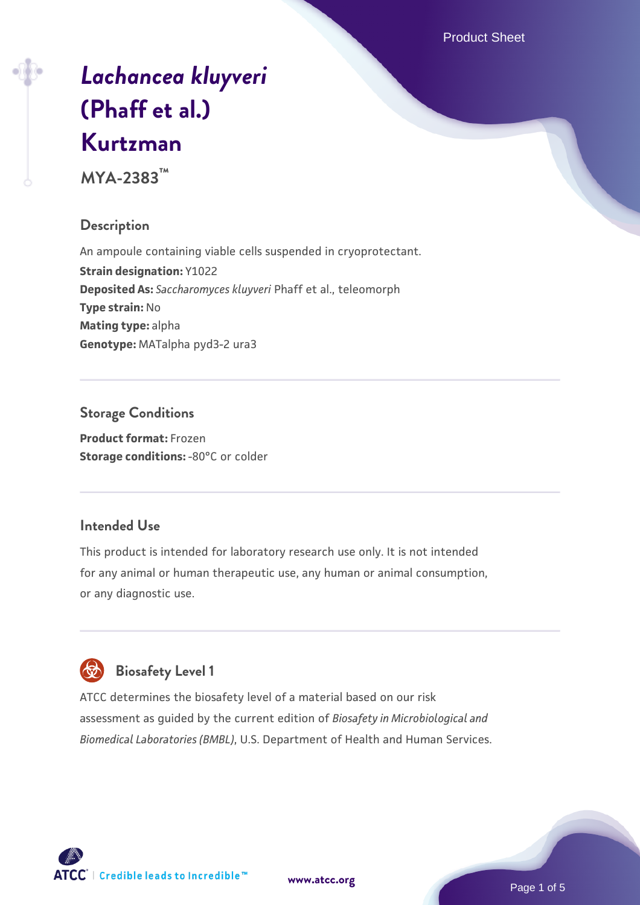Product Sheet

# *[Lachancea kluyveri](https://www.atcc.org/products/mya-2383)* **[\(Phaff et al.\)](https://www.atcc.org/products/mya-2383) [Kurtzman](https://www.atcc.org/products/mya-2383)**

**MYA-2383™**

#### **Description**

An ampoule containing viable cells suspended in cryoprotectant. **Strain designation:** Y1022 **Deposited As:** *Saccharomyces kluyveri* Phaff et al., teleomorph **Type strain:** No **Mating type:** alpha **Genotype:** MATalpha pyd3-2 ura3

## **Storage Conditions**

**Product format:** Frozen **Storage conditions: -80°C or colder** 

#### **Intended Use**

This product is intended for laboratory research use only. It is not intended for any animal or human therapeutic use, any human or animal consumption, or any diagnostic use.

# **Biosafety Level 1**

ATCC determines the biosafety level of a material based on our risk assessment as guided by the current edition of *Biosafety in Microbiological and Biomedical Laboratories (BMBL)*, U.S. Department of Health and Human Services.

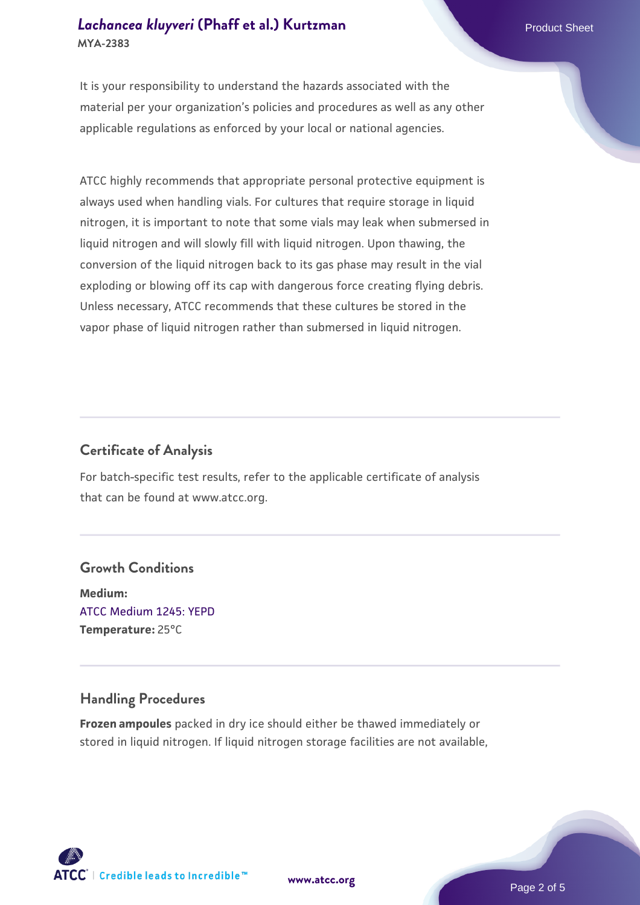#### *[Lachancea kluyveri](https://www.atcc.org/products/mya-2383)* **[\(Phaff et al.\) Kurtzman](https://www.atcc.org/products/mya-2383) Product Sheet Product Sheet Product Sheet MYA-2383**

It is your responsibility to understand the hazards associated with the material per your organization's policies and procedures as well as any other applicable regulations as enforced by your local or national agencies.

ATCC highly recommends that appropriate personal protective equipment is always used when handling vials. For cultures that require storage in liquid nitrogen, it is important to note that some vials may leak when submersed in liquid nitrogen and will slowly fill with liquid nitrogen. Upon thawing, the conversion of the liquid nitrogen back to its gas phase may result in the vial exploding or blowing off its cap with dangerous force creating flying debris. Unless necessary, ATCC recommends that these cultures be stored in the vapor phase of liquid nitrogen rather than submersed in liquid nitrogen.

#### **Certificate of Analysis**

For batch-specific test results, refer to the applicable certificate of analysis that can be found at www.atcc.org.

#### **Growth Conditions**

**Medium:**  [ATCC Medium 1245: YEPD](https://www.atcc.org/-/media/product-assets/documents/microbial-media-formulations/1/2/4/5/atcc-medium-1245.pdf?rev=705ca55d1b6f490a808a965d5c072196) **Temperature:** 25°C

#### **Handling Procedures**

**Frozen ampoules** packed in dry ice should either be thawed immediately or stored in liquid nitrogen. If liquid nitrogen storage facilities are not available,

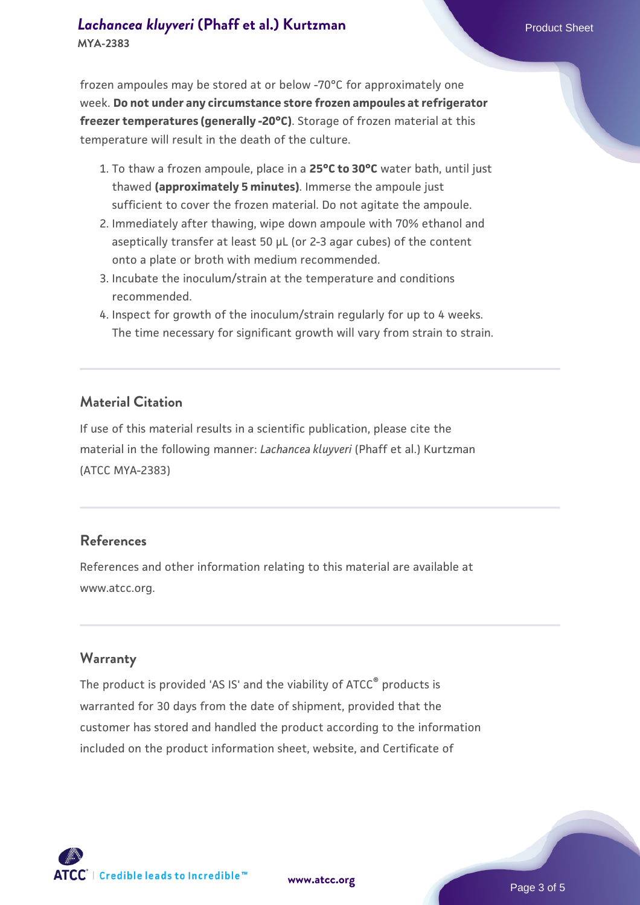frozen ampoules may be stored at or below -70°C for approximately one week. **Do not under any circumstance store frozen ampoules at refrigerator freezer temperatures (generally -20°C)**. Storage of frozen material at this temperature will result in the death of the culture.

- 1. To thaw a frozen ampoule, place in a **25°C to 30°C** water bath, until just thawed **(approximately 5 minutes)**. Immerse the ampoule just sufficient to cover the frozen material. Do not agitate the ampoule.
- 2. Immediately after thawing, wipe down ampoule with 70% ethanol and aseptically transfer at least 50 µL (or 2-3 agar cubes) of the content onto a plate or broth with medium recommended.
- 3. Incubate the inoculum/strain at the temperature and conditions recommended.
- 4. Inspect for growth of the inoculum/strain regularly for up to 4 weeks. The time necessary for significant growth will vary from strain to strain.

#### **Material Citation**

If use of this material results in a scientific publication, please cite the material in the following manner: *Lachancea kluyveri* (Phaff et al.) Kurtzman (ATCC MYA-2383)

#### **References**

References and other information relating to this material are available at www.atcc.org.

#### **Warranty**

The product is provided 'AS IS' and the viability of ATCC<sup>®</sup> products is warranted for 30 days from the date of shipment, provided that the customer has stored and handled the product according to the information included on the product information sheet, website, and Certificate of



**[www.atcc.org](http://www.atcc.org)**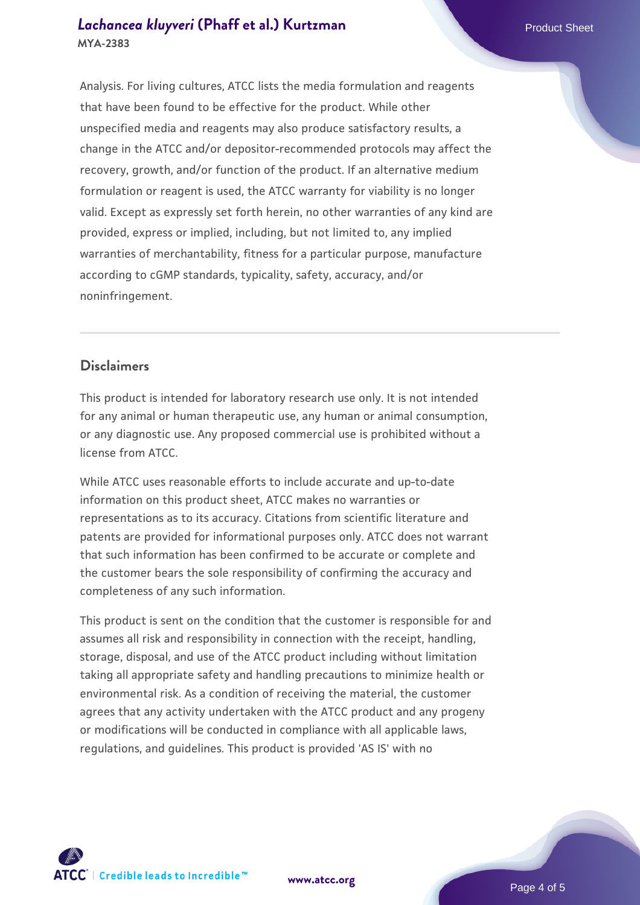Analysis. For living cultures, ATCC lists the media formulation and reagents that have been found to be effective for the product. While other unspecified media and reagents may also produce satisfactory results, a change in the ATCC and/or depositor-recommended protocols may affect the recovery, growth, and/or function of the product. If an alternative medium formulation or reagent is used, the ATCC warranty for viability is no longer valid. Except as expressly set forth herein, no other warranties of any kind are provided, express or implied, including, but not limited to, any implied warranties of merchantability, fitness for a particular purpose, manufacture according to cGMP standards, typicality, safety, accuracy, and/or noninfringement.

#### **Disclaimers**

This product is intended for laboratory research use only. It is not intended for any animal or human therapeutic use, any human or animal consumption, or any diagnostic use. Any proposed commercial use is prohibited without a license from ATCC.

While ATCC uses reasonable efforts to include accurate and up-to-date information on this product sheet, ATCC makes no warranties or representations as to its accuracy. Citations from scientific literature and patents are provided for informational purposes only. ATCC does not warrant that such information has been confirmed to be accurate or complete and the customer bears the sole responsibility of confirming the accuracy and completeness of any such information.

This product is sent on the condition that the customer is responsible for and assumes all risk and responsibility in connection with the receipt, handling, storage, disposal, and use of the ATCC product including without limitation taking all appropriate safety and handling precautions to minimize health or environmental risk. As a condition of receiving the material, the customer agrees that any activity undertaken with the ATCC product and any progeny or modifications will be conducted in compliance with all applicable laws, regulations, and guidelines. This product is provided 'AS IS' with no



**[www.atcc.org](http://www.atcc.org)**

Page 4 of 5